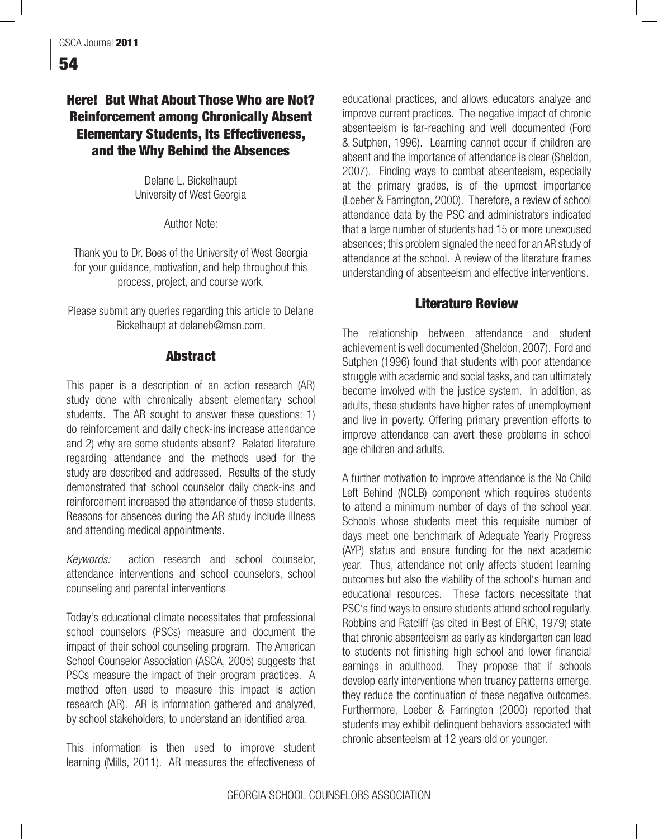# Here! But What About Those Who are Not? Reinforcement among Chronically Absent Elementary Students, Its Effectiveness, and the Why Behind the Absences

Delane L. Bickelhaupt University of West Georgia

Author Note:

Thank you to Dr. Boes of the University of West Georgia for your guidance, motivation, and help throughout this process, project, and course work.

Please submit any queries regarding this article to Delane Bickelhaupt at delaneb@msn.com.

## **Abstract**

This paper is a description of an action research (AR) study done with chronically absent elementary school students. The AR sought to answer these questions: 1) do reinforcement and daily check-ins increase attendance and 2) why are some students absent? Related literature regarding attendance and the methods used for the study are described and addressed. Results of the study demonstrated that school counselor daily check-ins and reinforcement increased the attendance of these students. Reasons for absences during the AR study include illness and attending medical appointments.

*Keywords:* action research and school counselor, attendance interventions and school counselors, school counseling and parental interventions

Today's educational climate necessitates that professional school counselors (PSCs) measure and document the impact of their school counseling program. The American School Counselor Association (ASCA, 2005) suggests that PSCs measure the impact of their program practices. A method often used to measure this impact is action research (AR). AR is information gathered and analyzed, by school stakeholders, to understand an identified area.

This information is then used to improve student learning (Mills, 2011). AR measures the effectiveness of educational practices, and allows educators analyze and improve current practices. The negative impact of chronic absenteeism is far-reaching and well documented (Ford & Sutphen, 1996). Learning cannot occur if children are absent and the importance of attendance is clear (Sheldon, 2007). Finding ways to combat absenteeism, especially at the primary grades, is of the upmost importance (Loeber & Farrington, 2000). Therefore, a review of school attendance data by the PSC and administrators indicated that a large number of students had 15 or more unexcused absences; this problem signaled the need for an AR study of attendance at the school. A review of the literature frames understanding of absenteeism and effective interventions.

# Literature Review

The relationship between attendance and student achievement is well documented (Sheldon, 2007). Ford and Sutphen (1996) found that students with poor attendance struggle with academic and social tasks, and can ultimately become involved with the justice system. In addition, as adults, these students have higher rates of unemployment and live in poverty. Offering primary prevention efforts to improve attendance can avert these problems in school age children and adults.

A further motivation to improve attendance is the No Child Left Behind (NCLB) component which requires students to attend a minimum number of days of the school year. Schools whose students meet this requisite number of days meet one benchmark of Adequate Yearly Progress (AYP) status and ensure funding for the next academic year. Thus, attendance not only affects student learning outcomes but also the viability of the school's human and educational resources. These factors necessitate that PSC's find ways to ensure students attend school regularly. Robbins and Ratcliff (as cited in Best of ERIC, 1979) state that chronic absenteeism as early as kindergarten can lead to students not finishing high school and lower financial earnings in adulthood. They propose that if schools develop early interventions when truancy patterns emerge, they reduce the continuation of these negative outcomes. Furthermore, Loeber & Farrington (2000) reported that students may exhibit delinquent behaviors associated with chronic absenteeism at 12 years old or younger.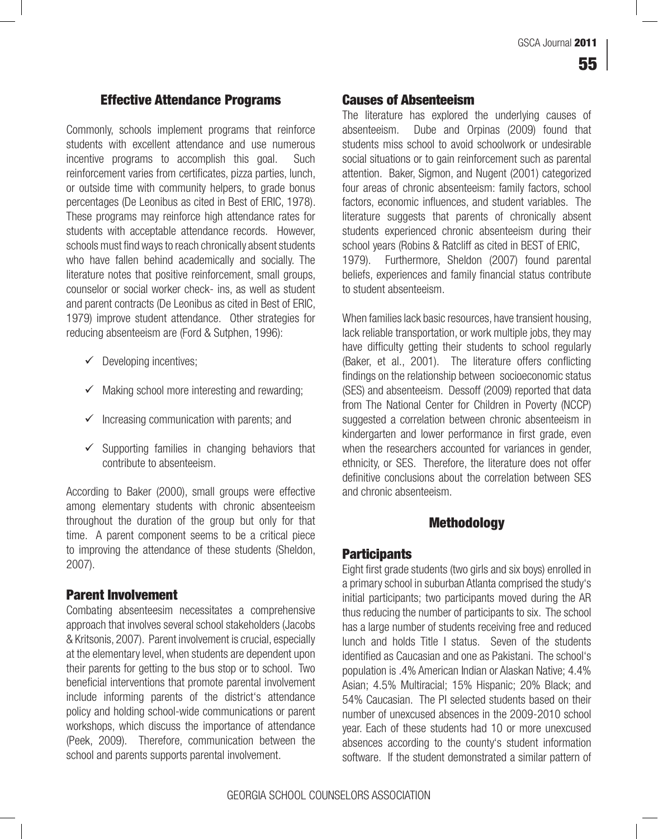## Effective Attendance Programs

Commonly, schools implement programs that reinforce students with excellent attendance and use numerous incentive programs to accomplish this goal. Such reinforcement varies from certificates, pizza parties, lunch, or outside time with community helpers, to grade bonus percentages (De Leonibus as cited in Best of ERIC, 1978). These programs may reinforce high attendance rates for students with acceptable attendance records. However, schools must find ways to reach chronically absent students who have fallen behind academically and socially. The literature notes that positive reinforcement, small groups, counselor or social worker check- ins, as well as student and parent contracts (De Leonibus as cited in Best of ERIC, 1979) improve student attendance. Other strategies for reducing absenteeism are (Ford & Sutphen, 1996):

- $\checkmark$  Developing incentives;
- $\checkmark$  Making school more interesting and rewarding;
- $\checkmark$  Increasing communication with parents; and
- $\checkmark$  Supporting families in changing behaviors that contribute to absenteeism.

According to Baker (2000), small groups were effective among elementary students with chronic absenteeism throughout the duration of the group but only for that time. A parent component seems to be a critical piece to improving the attendance of these students (Sheldon, 2007).

### Parent Involvement

Combating absenteesim necessitates a comprehensive approach that involves several school stakeholders (Jacobs & Kritsonis, 2007). Parent involvement is crucial, especially at the elementary level, when students are dependent upon their parents for getting to the bus stop or to school. Two beneficial interventions that promote parental involvement include informing parents of the district's attendance policy and holding school-wide communications or parent workshops, which discuss the importance of attendance (Peek, 2009). Therefore, communication between the school and parents supports parental involvement.

### Causes of Absenteeism

The literature has explored the underlying causes of absenteeism. Dube and Orpinas (2009) found that students miss school to avoid schoolwork or undesirable social situations or to gain reinforcement such as parental attention. Baker, Sigmon, and Nugent (2001) categorized four areas of chronic absenteeism: family factors, school factors, economic influences, and student variables. The literature suggests that parents of chronically absent students experienced chronic absenteeism during their school years (Robins & Ratcliff as cited in BEST of ERIC, 1979). Furthermore, Sheldon (2007) found parental beliefs, experiences and family financial status contribute to student absenteeism.

When families lack basic resources, have transient housing, lack reliable transportation, or work multiple jobs, they may have difficulty getting their students to school regularly (Baker, et al., 2001). The literature offers conflicting findings on the relationship between socioeconomic status (SES) and absenteeism. Dessoff (2009) reported that data from The National Center for Children in Poverty (NCCP) suggested a correlation between chronic absenteeism in kindergarten and lower performance in first grade, even when the researchers accounted for variances in gender, ethnicity, or SES. Therefore, the literature does not offer definitive conclusions about the correlation between SES and chronic absenteeism.

### Methodology

## **Participants**

Eight first grade students (two girls and six boys) enrolled in a primary school in suburban Atlanta comprised the study's initial participants; two participants moved during the AR thus reducing the number of participants to six. The school has a large number of students receiving free and reduced lunch and holds Title I status. Seven of the students identified as Caucasian and one as Pakistani. The school's population is .4% American Indian or Alaskan Native; 4.4% Asian; 4.5% Multiracial; 15% Hispanic; 20% Black; and 54% Caucasian. The PI selected students based on their number of unexcused absences in the 2009-2010 school year. Each of these students had 10 or more unexcused absences according to the county's student information software. If the student demonstrated a similar pattern of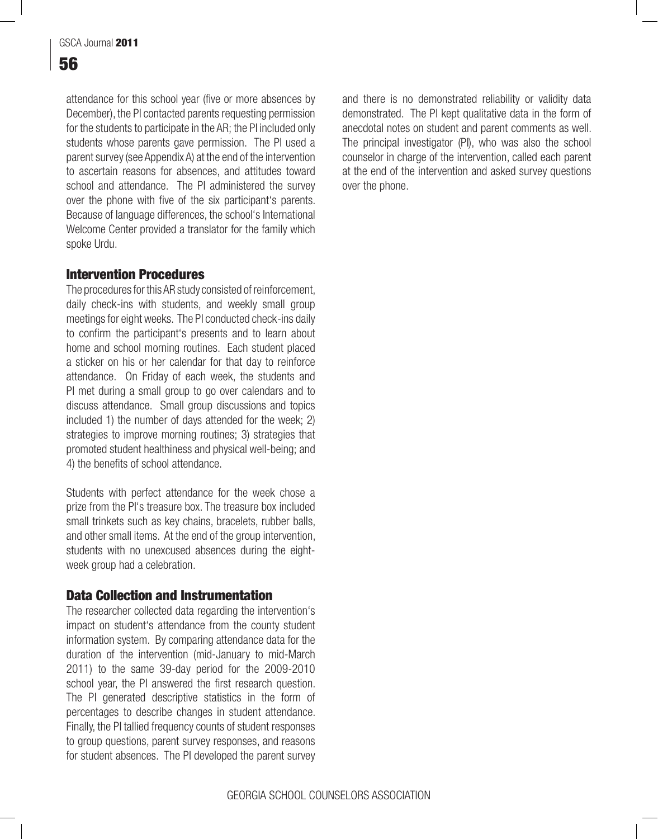attendance for this school year (five or more absences by December), the PI contacted parents requesting permission for the students to participate in the AR; the PI included only students whose parents gave permission. The PI used a parent survey (see Appendix A) at the end of the intervention to ascertain reasons for absences, and attitudes toward school and attendance. The PI administered the survey over the phone with five of the six participant's parents. Because of language differences, the school's International Welcome Center provided a translator for the family which spoke Urdu.

# Intervention Procedures

The procedures for this AR study consisted of reinforcement, daily check-ins with students, and weekly small group meetings for eight weeks. The PI conducted check-ins daily to confirm the participant's presents and to learn about home and school morning routines. Each student placed a sticker on his or her calendar for that day to reinforce attendance. On Friday of each week, the students and PI met during a small group to go over calendars and to discuss attendance. Small group discussions and topics included 1) the number of days attended for the week; 2) strategies to improve morning routines; 3) strategies that promoted student healthiness and physical well-being; and 4) the benefits of school attendance.

Students with perfect attendance for the week chose a prize from the PI's treasure box. The treasure box included small trinkets such as key chains, bracelets, rubber balls, and other small items. At the end of the group intervention, students with no unexcused absences during the eightweek group had a celebration.

# Data Collection and Instrumentation

The researcher collected data regarding the intervention's impact on student's attendance from the county student information system. By comparing attendance data for the duration of the intervention (mid-January to mid-March 2011) to the same 39-day period for the 2009-2010 school year, the PI answered the first research question. The PI generated descriptive statistics in the form of percentages to describe changes in student attendance. Finally, the PI tallied frequency counts of student responses to group questions, parent survey responses, and reasons for student absences. The PI developed the parent survey and there is no demonstrated reliability or validity data demonstrated. The PI kept qualitative data in the form of anecdotal notes on student and parent comments as well. The principal investigator (PI), who was also the school counselor in charge of the intervention, called each parent at the end of the intervention and asked survey questions over the phone.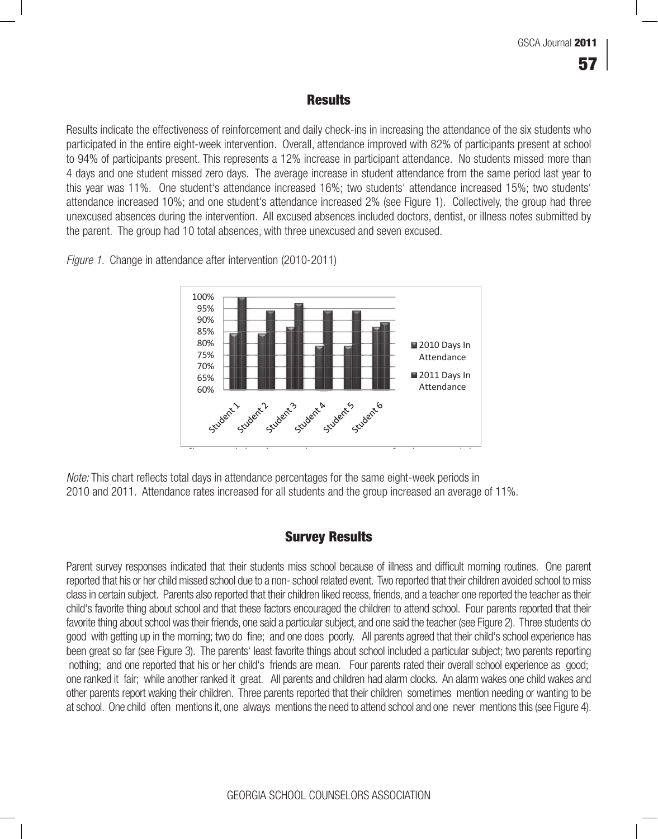#### **Results** and one student missed zero days. The average increase in student attendance from the same in student attendance from the same in student attendance from the same in student attendance from the same in student attendance f

Results indicate the effectiveness of reinforcement and daily check-ins in increasing the attendance of the six students who participated in the entire eight-week intervention. Overall, attendance improved with 82% of participants present at school .<br>to 94% of participants present. This represents a 12% increase in participant attendance. No students missed more than 4 days and one student missed zero days. The average increase in student attendance from the same period last year to this year was 11%. One student's attendance increased 16%; two students' attendance increased 15%; two students' attendance increased 10%; and one student's attendance increased 2% (see Figure 1). Collectively, the group had three atternative increased 1970, and energiation. All excused absences included doctors, dentist, or illness notes submitted by unexcused absences during the intervention. All excused absences included doctors, dentist, or illn the parent. The group had 10 total absences, with three unexcused and seven excused. parent. The group had 10 total absences, with three unexcused and seven excused.

*Figure 1.* Change in attendance after intervention (2010-2011) *Figure 1.* Change in attendance after intervention (2010-2011)



*Note:* This chart reflects total days in attendance percentages for the same eight-week periods in 2010 and 2011. Attendance rates increased for all students and the group increased an average of 11%.

# Survey Results

Parent survey responses indicated that their students miss school because of illness and difficult morning routines. One parent reported that his or her child missed school due to a non- school related event. Two reported that their children avoided school to miss class in certain subject. Parents also reported that their children liked recess, friends, and a teacher one reported the teacher as their child's favorite thing about school and that these factors encouraged the children to attend school. Four parents reported that their favorite thing about school was their friends, one said a particular subject, and one said the teacher (see Figure 2). Three students do good with getting up in the morning; two do fine; and one does poorly. All parents agreed that their child's school experience has been great so far (see Figure 3). The parents' least favorite things about school included a particular subject; two parents reporting nothing; and one reported that his or her child's friends are mean. Four parents rated their overall school experience as good; one ranked it fair; while another ranked it great. All parents and children had alarm clocks. An alarm wakes one child wakes and other parents report waking their children. Three parents reported that their children sometimes mention needing or wanting to be at school. One child often mentions it, one always mentions the need to attend school and one never mentions this (see Figure 4).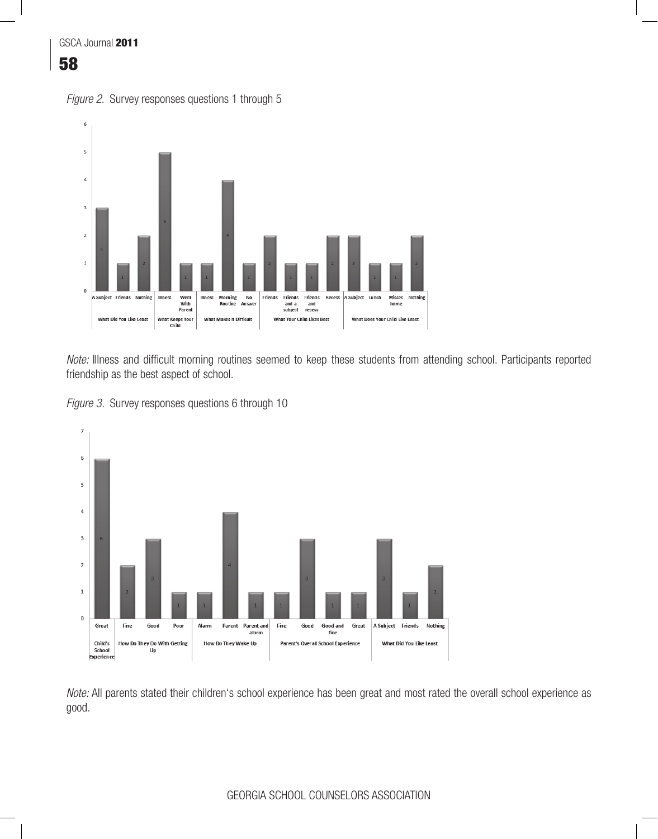





Note: Illness and difficult morning routines seemed to keep these students from attending school. Participants reported friendship as the best aspect of school. *No.* IIIncss and difficult morning routines seemed to keep these students from attending school. I anticipal





*Note:* All parents stated their children's school experience has been great and most rated the overall school experience as good.  $\mathsf{od}.$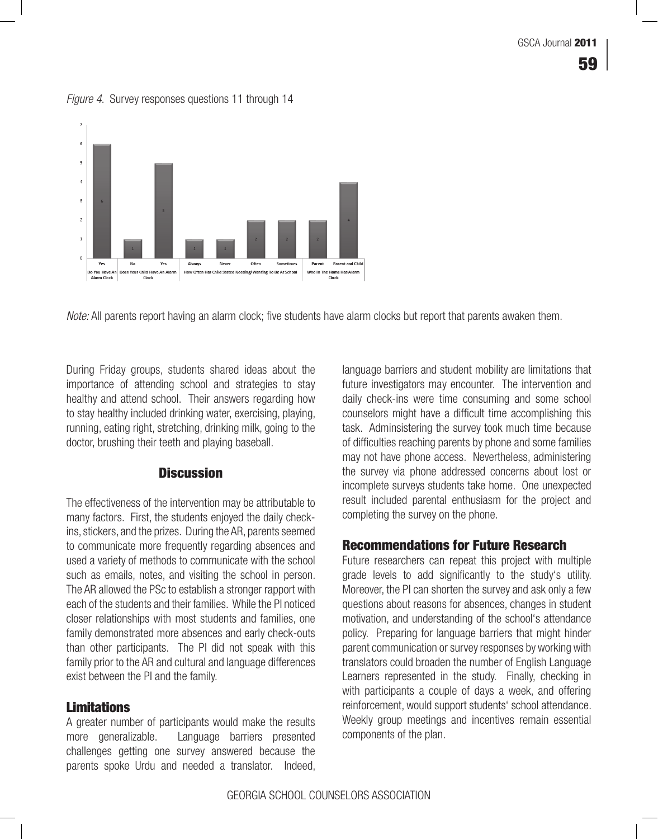

### *Figure 4*. Survey responses questions 11 through 14

*Note:* All parents report having an alarm clock; five students have alarm clocks but report that parents awaken them.

During Friday groups, students shared ideas about the importance of attending school and strategies to stay buture investigators may encounter. healthy and attend school. Their answers regarding how to stay healthy included drinking water, exercising, playing, ecounselors might have a difficult time ad running, eating right, stretching, drinking milk, going to the doctor, brushing their teeth and playing baseball. The doctor of difficult of the doctor, brushing their teeth and playing baseball.

## **Discussion**

The effectiveness of the intervention may be attributable to many factors. First, the students enjoyed the daily check-all completing the survey on the phone. ins, stickers, and the prizes. During the AR, parents seemed to communicate more frequently regarding absences and **Recommendations for Future Rese** used a variety of methods to communicate with the school such as emails, notes, and visiting the school in person. The grade levels to add significantly to the stu The AR allowed the PSc to establish a stronger rapport with each of the students and their families. While the PI noticed questions about reasons for absences, chang closer relationships with most students and families, one family demonstrated more absences and early check-outs enclosion Preparing for language barriers the than other participants. The PI did not speak with this family prior to the AR and cultural and language differences translators could broaden the number of Engrange exist between the PI and the family.

## **Limitations**

A greater number of participants would make the results more generalizable. Language barriers presented challenges getting one survey answered because the parents spoke Urdu and needed a translator. Indeed,

moonplete salveys statement and money is many factiveness of the intervention may be attributable to meer included parental enthusiasm for the project and language barriers and student mobility are limitations that future investigators may encounter. The intervention and daily check-ins were time consuming and some school counselors might have a difficult time accomplishing this task. Adminsistering the survey took much time because of difficulties reaching parents by phone and some families may not have phone access. Nevertheless, administering the survey via phone addressed concerns about lost or incomplete surveys students take home. One unexpected completing the survey on the phone.

## Recommendations for Future Research

AR and cultural and language differences exist between the PI and the family. with participants a couple of days a week, and offering Future researchers can repeat this project with multiple grade levels to add significantly to the study's utility. Moreover, the PI can shorten the survey and ask only a few questions about reasons for absences, changes in student motivation, and understanding of the school's attendance policy. Preparing for language barriers that might hinder parent communication or survey responses by working with translators could broaden the number of English Language Learners represented in the study. Finally, checking in reinforcement, would support students' school attendance. Weekly group meetings and incentives remain essential components of the plan.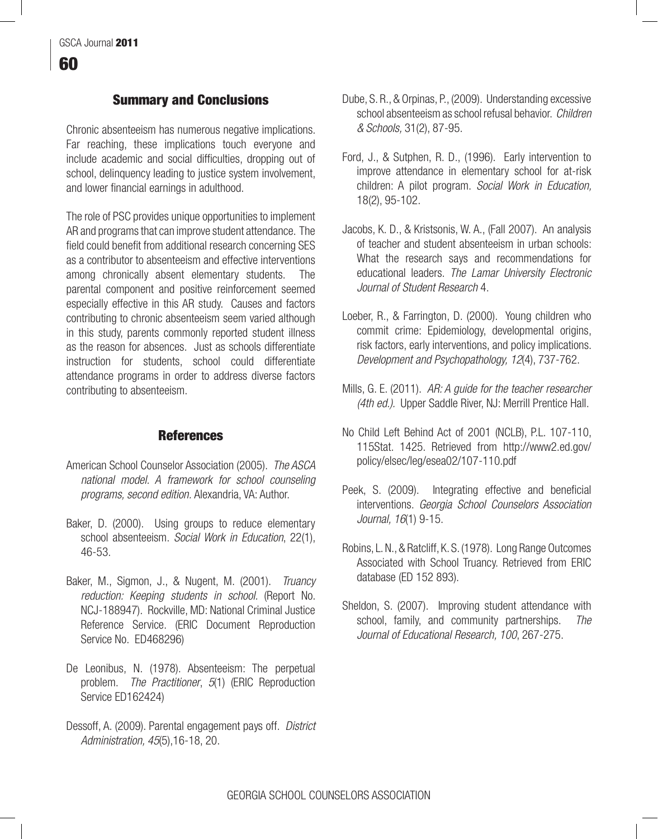## Summary and Conclusions

Chronic absenteeism has numerous negative implications. Far reaching, these implications touch everyone and include academic and social difficulties, dropping out of school, delinquency leading to justice system involvement, and lower financial earnings in adulthood.

The role of PSC provides unique opportunities to implement AR and programs that can improve student attendance. The field could benefit from additional research concerning SES as a contributor to absenteeism and effective interventions among chronically absent elementary students. The parental component and positive reinforcement seemed especially effective in this AR study. Causes and factors contributing to chronic absenteeism seem varied although in this study, parents commonly reported student illness as the reason for absences. Just as schools differentiate instruction for students, school could differentiate attendance programs in order to address diverse factors contributing to absenteeism.

### **References**

- American School Counselor Association (2005). *The ASCA national model. A framework for school counseling programs, second edition.* Alexandria, VA: Author.
- Baker, D. (2000). Using groups to reduce elementary school absenteeism. *Social Work in Education*, 22(1), 46-53.
- Baker, M., Sigmon, J., & Nugent, M. (2001). *Truancy reduction: Keeping students in school.* (Report No. NCJ-188947). Rockville, MD: National Criminal Justice Reference Service. (ERIC Document Reproduction Service No. ED468296)
- De Leonibus, N. (1978). Absenteeism: The perpetual problem. *The Practitioner*, *5*(1) (ERIC Reproduction Service ED162424)
- Dessoff, A. (2009). Parental engagement pays off. *District Administration, 45*(5),16-18, 20.
- Dube, S. R., & Orpinas, P., (2009). Understanding excessive school absenteeism as school refusal behavior. *Children & Schools,* 31(2), 87-95.
- Ford, J., & Sutphen, R. D., (1996). Early intervention to improve attendance in elementary school for at-risk children: A pilot program. *Social Work in Education,*  18(2), 95-102.
- Jacobs, K. D., & Kristsonis, W. A., (Fall 2007). An analysis of teacher and student absenteeism in urban schools: What the research says and recommendations for educational leaders. *The Lamar University Electronic Journal of Student Research* 4.
- Loeber, R., & Farrington, D. (2000). Young children who commit crime: Epidemiology, developmental origins, risk factors, early interventions, and policy implications. *Development and Psychopathology, 12*(4), 737-762.
- Mills, G. E. (2011). *AR: A guide for the teacher researcher (4th ed.).* Upper Saddle River, NJ: Merrill Prentice Hall.
- No Child Left Behind Act of 2001 (NCLB), P.L. 107-110, 115Stat. 1425. Retrieved from http://www2.ed.gov/ policy/elsec/leg/esea02/107-110.pdf
- Peek, S. (2009). Integrating effective and beneficial interventions. *Georgia School Counselors Association Journal, 16*(1) 9-15.
- Robins, L. N., & Ratcliff, K. S. (1978). Long Range Outcomes Associated with School Truancy. Retrieved from ERIC database (ED 152 893).
- Sheldon, S. (2007). Improving student attendance with school, family, and community partnerships. *The Journal of Educational Research, 100*, 267-275.